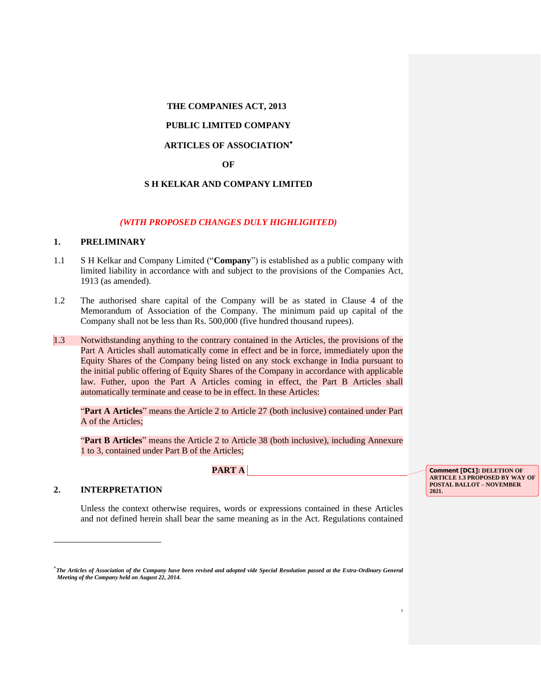### **THE COMPANIES ACT, 2013**

## **PUBLIC LIMITED COMPANY**

# **ARTICLES OF ASSOCIATION**

#### **OF**

### **S H KELKAR AND COMPANY LIMITED**

#### *(WITH PROPOSED CHANGES DULY HIGHLIGHTED)*

#### **1. PRELIMINARY**

- 1.1 S H Kelkar and Company Limited ("**Company**") is established as a public company with limited liability in accordance with and subject to the provisions of the Companies Act, 1913 (as amended).
- 1.2 The authorised share capital of the Company will be as stated in Clause 4 of the Memorandum of Association of the Company. The minimum paid up capital of the Company shall not be less than Rs. 500,000 (five hundred thousand rupees).
- 1.3 Notwithstanding anything to the contrary contained in the Articles, the provisions of the Part A Articles shall automatically come in effect and be in force, immediately upon the Equity Shares of the Company being listed on any stock exchange in India pursuant to the initial public offering of Equity Shares of the Company in accordance with applicable law. Futher, upon the Part A Articles coming in effect, the Part B Articles shall automatically terminate and cease to be in effect. In these Articles:

"**Part A Articles**" means the Article 2 to Article 27 (both inclusive) contained under Part A of the Articles;

"**Part B Articles**" means the Article 2 to Article 38 (both inclusive), including Annexure 1 to 3, contained under Part B of the Articles;

**PART A** 

## **2. INTERPRETATION**

 $\overline{\phantom{a}}$ 

Unless the context otherwise requires, words or expressions contained in these Articles and not defined herein shall bear the same meaning as in the Act. Regulations contained

**Comment [DC1]: DELETION OF ARTICLE 1.3 PROPOSED BY WAY OF POSTAL BALLOT – NOVEMBER 2021.**

1

*The Articles of Association of the Company have been revised and adopted vide Special Resolution passed at the Extra-Ordinary General Meeting of the Company held on August 22, 2014.*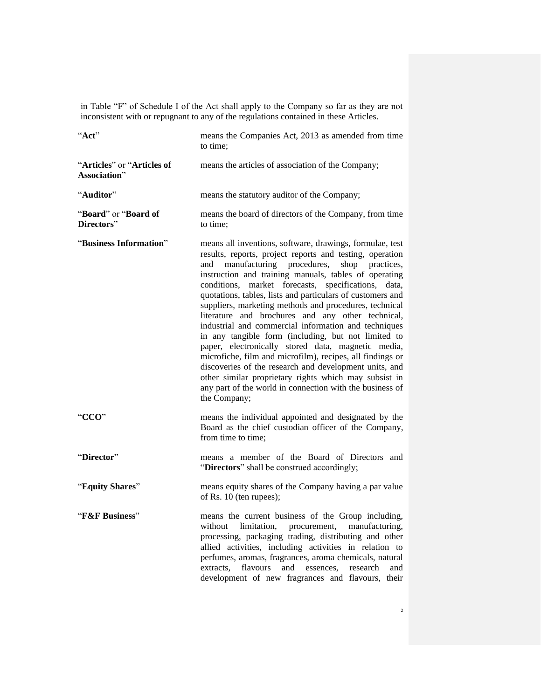in Table "F" of Schedule I of the Act shall apply to the Company so far as they are not inconsistent with or repugnant to any of the regulations contained in these Articles.

| "Act"                                      | means the Companies Act, 2013 as amended from time<br>to time:                                                                                                                                                                                                                                                                                                                                                                                                                                                                                                                                                                                                                                                                                                                                                                                                                                                     |  |  |
|--------------------------------------------|--------------------------------------------------------------------------------------------------------------------------------------------------------------------------------------------------------------------------------------------------------------------------------------------------------------------------------------------------------------------------------------------------------------------------------------------------------------------------------------------------------------------------------------------------------------------------------------------------------------------------------------------------------------------------------------------------------------------------------------------------------------------------------------------------------------------------------------------------------------------------------------------------------------------|--|--|
| "Articles" or "Articles of<br>Association" | means the articles of association of the Company;                                                                                                                                                                                                                                                                                                                                                                                                                                                                                                                                                                                                                                                                                                                                                                                                                                                                  |  |  |
| "Auditor"                                  | means the statutory auditor of the Company;                                                                                                                                                                                                                                                                                                                                                                                                                                                                                                                                                                                                                                                                                                                                                                                                                                                                        |  |  |
| "Board" or "Board of<br>Directors"         | means the board of directors of the Company, from time<br>to time:                                                                                                                                                                                                                                                                                                                                                                                                                                                                                                                                                                                                                                                                                                                                                                                                                                                 |  |  |
| "Business Information"                     | means all inventions, software, drawings, formulae, test<br>results, reports, project reports and testing, operation<br>manufacturing procedures,<br>shop<br>practices.<br>and<br>instruction and training manuals, tables of operating<br>conditions,<br>market forecasts, specifications,<br>data,<br>quotations, tables, lists and particulars of customers and<br>suppliers, marketing methods and procedures, technical<br>literature and brochures and any other technical,<br>industrial and commercial information and techniques<br>in any tangible form (including, but not limited to<br>paper, electronically stored data, magnetic media,<br>microfiche, film and microfilm), recipes, all findings or<br>discoveries of the research and development units, and<br>other similar proprietary rights which may subsist in<br>any part of the world in connection with the business of<br>the Company; |  |  |
| "CCO"                                      | means the individual appointed and designated by the<br>Board as the chief custodian officer of the Company,<br>from time to time:                                                                                                                                                                                                                                                                                                                                                                                                                                                                                                                                                                                                                                                                                                                                                                                 |  |  |
| "Director"                                 | means a member of the Board of Directors and<br>"Directors" shall be construed accordingly;                                                                                                                                                                                                                                                                                                                                                                                                                                                                                                                                                                                                                                                                                                                                                                                                                        |  |  |
| "Equity Shares"                            | means equity shares of the Company having a par value<br>of Rs. 10 (ten rupees);                                                                                                                                                                                                                                                                                                                                                                                                                                                                                                                                                                                                                                                                                                                                                                                                                                   |  |  |
| "F&F Business"                             | means the current business of the Group including,<br>without<br>limitation,<br>procurement,<br>manufacturing,<br>processing, packaging trading, distributing and other<br>allied activities, including activities in relation to<br>perfumes, aromas, fragrances, aroma chemicals, natural<br>flavours<br>and<br>extracts,<br>essences.<br>research<br>and<br>development of new fragrances and flavours, their                                                                                                                                                                                                                                                                                                                                                                                                                                                                                                   |  |  |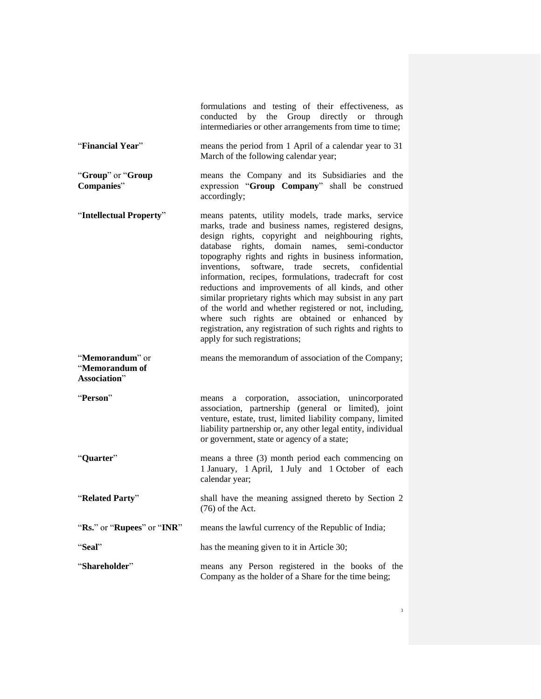|                                                   | formulations and testing of their effectiveness, as<br>conducted by the Group directly or through<br>intermediaries or other arrangements from time to time;                                                                                                                                                                                                                                                                                                                                                                                                                                                                                                                                                                   |  |  |  |
|---------------------------------------------------|--------------------------------------------------------------------------------------------------------------------------------------------------------------------------------------------------------------------------------------------------------------------------------------------------------------------------------------------------------------------------------------------------------------------------------------------------------------------------------------------------------------------------------------------------------------------------------------------------------------------------------------------------------------------------------------------------------------------------------|--|--|--|
| "Financial Year"                                  | means the period from 1 April of a calendar year to 31<br>March of the following calendar year;                                                                                                                                                                                                                                                                                                                                                                                                                                                                                                                                                                                                                                |  |  |  |
| "Group" or "Group<br>Companies"                   | means the Company and its Subsidiaries and the<br>expression "Group Company" shall be construed<br>accordingly;                                                                                                                                                                                                                                                                                                                                                                                                                                                                                                                                                                                                                |  |  |  |
| "Intellectual Property"                           | means patents, utility models, trade marks, service<br>marks, trade and business names, registered designs,<br>design rights, copyright and neighbouring rights,<br>rights, domain names, semi-conductor<br>database<br>topography rights and rights in business information,<br>software, trade secrets, confidential<br>inventions,<br>information, recipes, formulations, tradecraft for cost<br>reductions and improvements of all kinds, and other<br>similar proprietary rights which may subsist in any part<br>of the world and whether registered or not, including,<br>where such rights are obtained or enhanced by<br>registration, any registration of such rights and rights to<br>apply for such registrations; |  |  |  |
| "Memorandum" or<br>"Memorandum of<br>Association" | means the memorandum of association of the Company;                                                                                                                                                                                                                                                                                                                                                                                                                                                                                                                                                                                                                                                                            |  |  |  |
| "Person"                                          | a corporation, association, unincorporated<br>means<br>association, partnership (general or limited), joint<br>venture, estate, trust, limited liability company, limited<br>liability partnership or, any other legal entity, individual<br>or government, state or agency of a state;                                                                                                                                                                                                                                                                                                                                                                                                                                        |  |  |  |
| "Quarter"                                         | means a three (3) month period each commencing on<br>1 January, 1 April, 1 July and 1 October of each<br>calendar year;                                                                                                                                                                                                                                                                                                                                                                                                                                                                                                                                                                                                        |  |  |  |
| "Related Party"                                   | shall have the meaning assigned thereto by Section 2<br>$(76)$ of the Act.                                                                                                                                                                                                                                                                                                                                                                                                                                                                                                                                                                                                                                                     |  |  |  |
| "Rs." or "Rupees" or "INR"                        | means the lawful currency of the Republic of India;                                                                                                                                                                                                                                                                                                                                                                                                                                                                                                                                                                                                                                                                            |  |  |  |
| "Seal"                                            | has the meaning given to it in Article 30;                                                                                                                                                                                                                                                                                                                                                                                                                                                                                                                                                                                                                                                                                     |  |  |  |
| "Shareholder"                                     | means any Person registered in the books of the<br>Company as the holder of a Share for the time being;                                                                                                                                                                                                                                                                                                                                                                                                                                                                                                                                                                                                                        |  |  |  |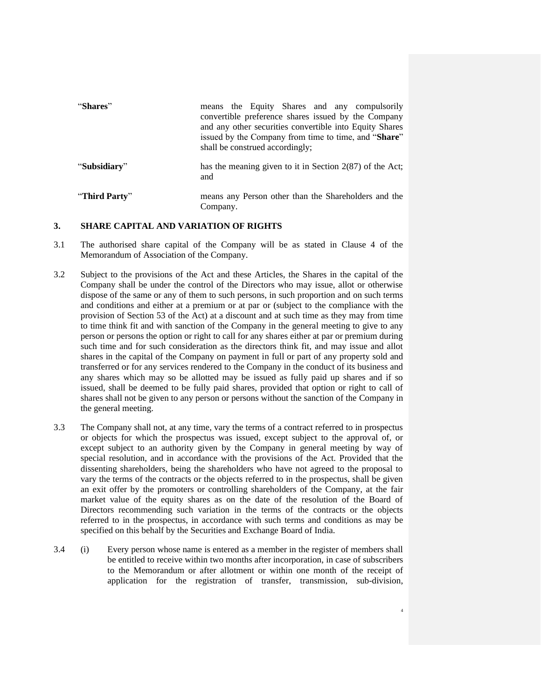| "Shares"      | means the Equity Shares and any compulsorily<br>convertible preference shares issued by the Company<br>and any other securities convertible into Equity Shares<br>issued by the Company from time to time, and "Share"<br>shall be construed accordingly; |
|---------------|-----------------------------------------------------------------------------------------------------------------------------------------------------------------------------------------------------------------------------------------------------------|
| "Subsidiary"  | has the meaning given to it in Section $2(87)$ of the Act;<br>and                                                                                                                                                                                         |
| "Third Party" | means any Person other than the Shareholders and the<br>Company.                                                                                                                                                                                          |

#### **3. SHARE CAPITAL AND VARIATION OF RIGHTS**

- 3.1 The authorised share capital of the Company will be as stated in Clause 4 of the Memorandum of Association of the Company.
- 3.2 Subject to the provisions of the Act and these Articles, the Shares in the capital of the Company shall be under the control of the Directors who may issue, allot or otherwise dispose of the same or any of them to such persons, in such proportion and on such terms and conditions and either at a premium or at par or (subject to the compliance with the provision of Section 53 of the Act) at a discount and at such time as they may from time to time think fit and with sanction of the Company in the general meeting to give to any person or persons the option or right to call for any shares either at par or premium during such time and for such consideration as the directors think fit, and may issue and allot shares in the capital of the Company on payment in full or part of any property sold and transferred or for any services rendered to the Company in the conduct of its business and any shares which may so be allotted may be issued as fully paid up shares and if so issued, shall be deemed to be fully paid shares, provided that option or right to call of shares shall not be given to any person or persons without the sanction of the Company in the general meeting.
- 3.3 The Company shall not, at any time, vary the terms of a contract referred to in prospectus or objects for which the prospectus was issued, except subject to the approval of, or except subject to an authority given by the Company in general meeting by way of special resolution, and in accordance with the provisions of the Act. Provided that the dissenting shareholders, being the shareholders who have not agreed to the proposal to vary the terms of the contracts or the objects referred to in the prospectus, shall be given an exit offer by the promoters or controlling shareholders of the Company, at the fair market value of the equity shares as on the date of the resolution of the Board of Directors recommending such variation in the terms of the contracts or the objects referred to in the prospectus, in accordance with such terms and conditions as may be specified on this behalf by the Securities and Exchange Board of India.
- 3.4 (i) Every person whose name is entered as a member in the register of members shall be entitled to receive within two months after incorporation, in case of subscribers to the Memorandum or after allotment or within one month of the receipt of application for the registration of transfer, transmission, sub-division,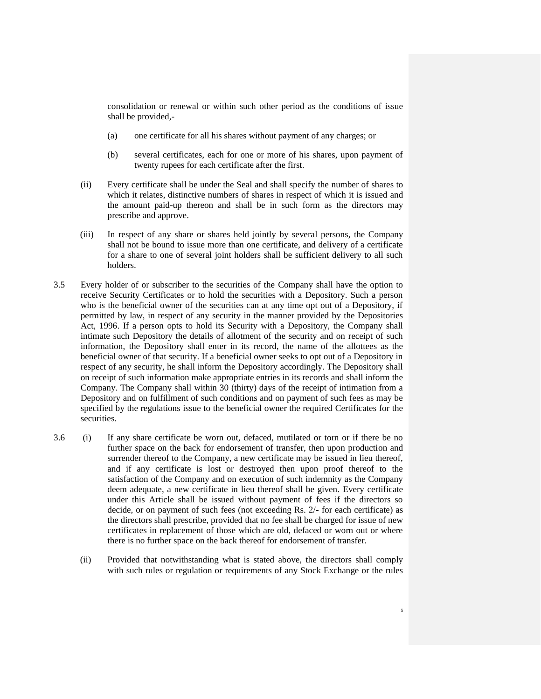consolidation or renewal or within such other period as the conditions of issue shall be provided,-

- (a) one certificate for all his shares without payment of any charges; or
- (b) several certificates, each for one or more of his shares, upon payment of twenty rupees for each certificate after the first.
- (ii) Every certificate shall be under the Seal and shall specify the number of shares to which it relates, distinctive numbers of shares in respect of which it is issued and the amount paid-up thereon and shall be in such form as the directors may prescribe and approve.
- (iii) In respect of any share or shares held jointly by several persons, the Company shall not be bound to issue more than one certificate, and delivery of a certificate for a share to one of several joint holders shall be sufficient delivery to all such holders.
- 3.5 Every holder of or subscriber to the securities of the Company shall have the option to receive Security Certificates or to hold the securities with a Depository. Such a person who is the beneficial owner of the securities can at any time opt out of a Depository, if permitted by law, in respect of any security in the manner provided by the Depositories Act, 1996. If a person opts to hold its Security with a Depository, the Company shall intimate such Depository the details of allotment of the security and on receipt of such information, the Depository shall enter in its record, the name of the allottees as the beneficial owner of that security. If a beneficial owner seeks to opt out of a Depository in respect of any security, he shall inform the Depository accordingly. The Depository shall on receipt of such information make appropriate entries in its records and shall inform the Company. The Company shall within 30 (thirty) days of the receipt of intimation from a Depository and on fulfillment of such conditions and on payment of such fees as may be specified by the regulations issue to the beneficial owner the required Certificates for the securities.
- 3.6 (i) If any share certificate be worn out, defaced, mutilated or torn or if there be no further space on the back for endorsement of transfer, then upon production and surrender thereof to the Company, a new certificate may be issued in lieu thereof, and if any certificate is lost or destroyed then upon proof thereof to the satisfaction of the Company and on execution of such indemnity as the Company deem adequate, a new certificate in lieu thereof shall be given. Every certificate under this Article shall be issued without payment of fees if the directors so decide, or on payment of such fees (not exceeding Rs. 2/- for each certificate) as the directors shall prescribe, provided that no fee shall be charged for issue of new certificates in replacement of those which are old, defaced or worn out or where there is no further space on the back thereof for endorsement of transfer.
	- (ii) Provided that notwithstanding what is stated above, the directors shall comply with such rules or regulation or requirements of any Stock Exchange or the rules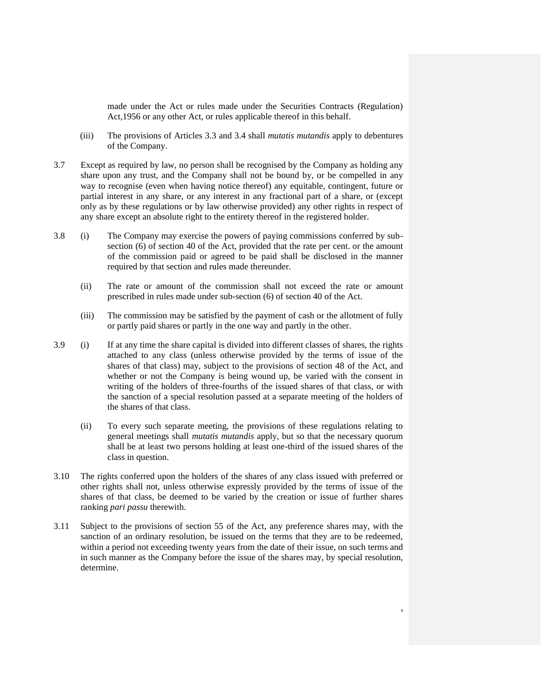made under the Act or rules made under the Securities Contracts (Regulation) Act,1956 or any other Act, or rules applicable thereof in this behalf.

- (iii) The provisions of Articles 3.3 and 3.4 shall *mutatis mutandis* apply to debentures of the Company.
- 3.7 Except as required by law, no person shall be recognised by the Company as holding any share upon any trust, and the Company shall not be bound by, or be compelled in any way to recognise (even when having notice thereof) any equitable, contingent, future or partial interest in any share, or any interest in any fractional part of a share, or (except only as by these regulations or by law otherwise provided) any other rights in respect of any share except an absolute right to the entirety thereof in the registered holder.
- 3.8 (i) The Company may exercise the powers of paying commissions conferred by subsection (6) of section 40 of the Act, provided that the rate per cent. or the amount of the commission paid or agreed to be paid shall be disclosed in the manner required by that section and rules made thereunder.
	- (ii) The rate or amount of the commission shall not exceed the rate or amount prescribed in rules made under sub-section (6) of section 40 of the Act.
	- (iii) The commission may be satisfied by the payment of cash or the allotment of fully or partly paid shares or partly in the one way and partly in the other.
- 3.9 (i) If at any time the share capital is divided into different classes of shares, the rights attached to any class (unless otherwise provided by the terms of issue of the shares of that class) may, subject to the provisions of section 48 of the Act, and whether or not the Company is being wound up, be varied with the consent in writing of the holders of three-fourths of the issued shares of that class, or with the sanction of a special resolution passed at a separate meeting of the holders of the shares of that class.
	- (ii) To every such separate meeting, the provisions of these regulations relating to general meetings shall *mutatis mutandis* apply, but so that the necessary quorum shall be at least two persons holding at least one-third of the issued shares of the class in question.
- 3.10 The rights conferred upon the holders of the shares of any class issued with preferred or other rights shall not, unless otherwise expressly provided by the terms of issue of the shares of that class, be deemed to be varied by the creation or issue of further shares ranking *pari passu* therewith.
- 3.11 Subject to the provisions of section 55 of the Act, any preference shares may, with the sanction of an ordinary resolution, be issued on the terms that they are to be redeemed, within a period not exceeding twenty years from the date of their issue, on such terms and in such manner as the Company before the issue of the shares may, by special resolution, determine.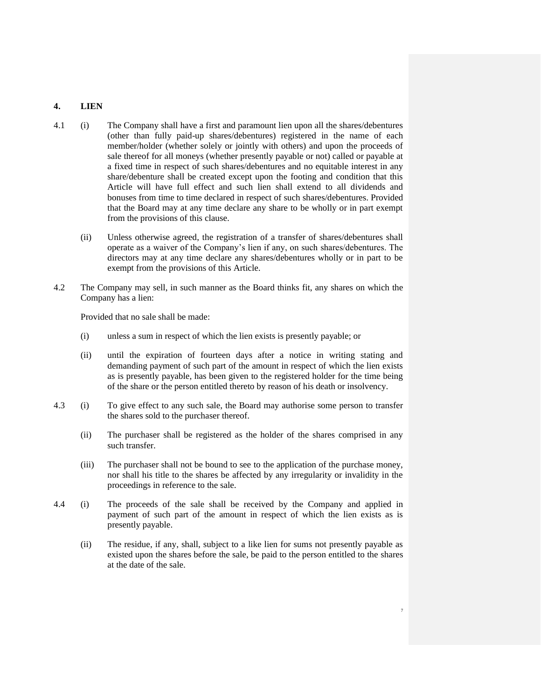### **4. LIEN**

- 4.1 (i) The Company shall have a first and paramount lien upon all the shares/debentures (other than fully paid-up shares/debentures) registered in the name of each member/holder (whether solely or jointly with others) and upon the proceeds of sale thereof for all moneys (whether presently payable or not) called or payable at a fixed time in respect of such shares/debentures and no equitable interest in any share/debenture shall be created except upon the footing and condition that this Article will have full effect and such lien shall extend to all dividends and bonuses from time to time declared in respect of such shares/debentures. Provided that the Board may at any time declare any share to be wholly or in part exempt from the provisions of this clause.
	- (ii) Unless otherwise agreed, the registration of a transfer of shares/debentures shall operate as a waiver of the Company's lien if any, on such shares/debentures. The directors may at any time declare any shares/debentures wholly or in part to be exempt from the provisions of this Article.
- 4.2 The Company may sell, in such manner as the Board thinks fit, any shares on which the Company has a lien:

Provided that no sale shall be made:

- (i) unless a sum in respect of which the lien exists is presently payable; or
- (ii) until the expiration of fourteen days after a notice in writing stating and demanding payment of such part of the amount in respect of which the lien exists as is presently payable, has been given to the registered holder for the time being of the share or the person entitled thereto by reason of his death or insolvency.
- 4.3 (i) To give effect to any such sale, the Board may authorise some person to transfer the shares sold to the purchaser thereof.
	- (ii) The purchaser shall be registered as the holder of the shares comprised in any such transfer.
	- (iii) The purchaser shall not be bound to see to the application of the purchase money, nor shall his title to the shares be affected by any irregularity or invalidity in the proceedings in reference to the sale.
- 4.4 (i) The proceeds of the sale shall be received by the Company and applied in payment of such part of the amount in respect of which the lien exists as is presently payable.
	- (ii) The residue, if any, shall, subject to a like lien for sums not presently payable as existed upon the shares before the sale, be paid to the person entitled to the shares at the date of the sale.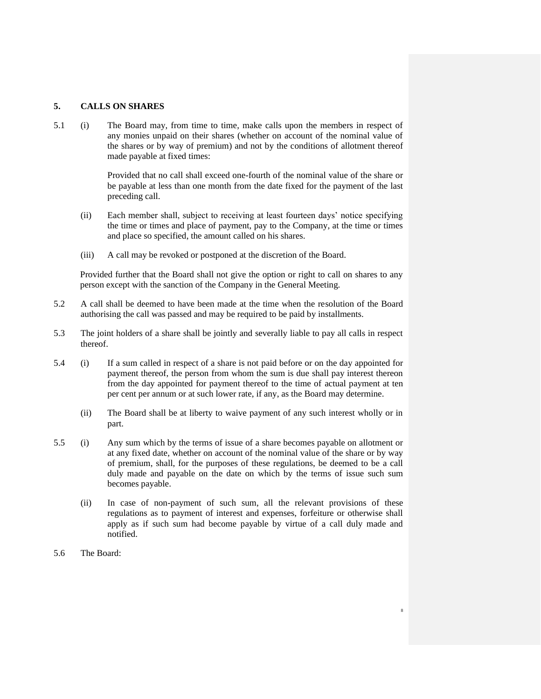### **5. CALLS ON SHARES**

5.1 (i) The Board may, from time to time, make calls upon the members in respect of any monies unpaid on their shares (whether on account of the nominal value of the shares or by way of premium) and not by the conditions of allotment thereof made payable at fixed times:

> Provided that no call shall exceed one-fourth of the nominal value of the share or be payable at less than one month from the date fixed for the payment of the last preceding call.

- (ii) Each member shall, subject to receiving at least fourteen days' notice specifying the time or times and place of payment, pay to the Company, at the time or times and place so specified, the amount called on his shares.
- (iii) A call may be revoked or postponed at the discretion of the Board.

Provided further that the Board shall not give the option or right to call on shares to any person except with the sanction of the Company in the General Meeting.

- 5.2 A call shall be deemed to have been made at the time when the resolution of the Board authorising the call was passed and may be required to be paid by installments.
- 5.3 The joint holders of a share shall be jointly and severally liable to pay all calls in respect thereof.
- 5.4 (i) If a sum called in respect of a share is not paid before or on the day appointed for payment thereof, the person from whom the sum is due shall pay interest thereon from the day appointed for payment thereof to the time of actual payment at ten per cent per annum or at such lower rate, if any, as the Board may determine.
	- (ii) The Board shall be at liberty to waive payment of any such interest wholly or in part.
- 5.5 (i) Any sum which by the terms of issue of a share becomes payable on allotment or at any fixed date, whether on account of the nominal value of the share or by way of premium, shall, for the purposes of these regulations, be deemed to be a call duly made and payable on the date on which by the terms of issue such sum becomes payable.
	- (ii) In case of non-payment of such sum, all the relevant provisions of these regulations as to payment of interest and expenses, forfeiture or otherwise shall apply as if such sum had become payable by virtue of a call duly made and notified.

8

5.6 The Board: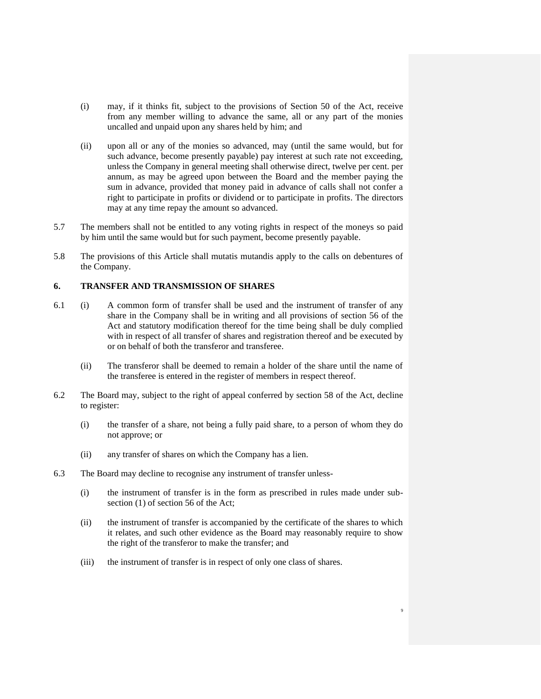- (i) may, if it thinks fit, subject to the provisions of Section 50 of the Act, receive from any member willing to advance the same, all or any part of the monies uncalled and unpaid upon any shares held by him; and
- (ii) upon all or any of the monies so advanced, may (until the same would, but for such advance, become presently payable) pay interest at such rate not exceeding, unless the Company in general meeting shall otherwise direct, twelve per cent. per annum, as may be agreed upon between the Board and the member paying the sum in advance, provided that money paid in advance of calls shall not confer a right to participate in profits or dividend or to participate in profits. The directors may at any time repay the amount so advanced.
- 5.7 The members shall not be entitled to any voting rights in respect of the moneys so paid by him until the same would but for such payment, become presently payable.
- 5.8 The provisions of this Article shall mutatis mutandis apply to the calls on debentures of the Company.

## **6. TRANSFER AND TRANSMISSION OF SHARES**

- 6.1 (i) A common form of transfer shall be used and the instrument of transfer of any share in the Company shall be in writing and all provisions of section 56 of the Act and statutory modification thereof for the time being shall be duly complied with in respect of all transfer of shares and registration thereof and be executed by or on behalf of both the transferor and transferee.
	- (ii) The transferor shall be deemed to remain a holder of the share until the name of the transferee is entered in the register of members in respect thereof.
- 6.2 The Board may, subject to the right of appeal conferred by section 58 of the Act, decline to register:
	- (i) the transfer of a share, not being a fully paid share, to a person of whom they do not approve; or
	- (ii) any transfer of shares on which the Company has a lien.
- 6.3 The Board may decline to recognise any instrument of transfer unless-
	- (i) the instrument of transfer is in the form as prescribed in rules made under subsection (1) of section 56 of the Act;
	- (ii) the instrument of transfer is accompanied by the certificate of the shares to which it relates, and such other evidence as the Board may reasonably require to show the right of the transferor to make the transfer; and

9

(iii) the instrument of transfer is in respect of only one class of shares.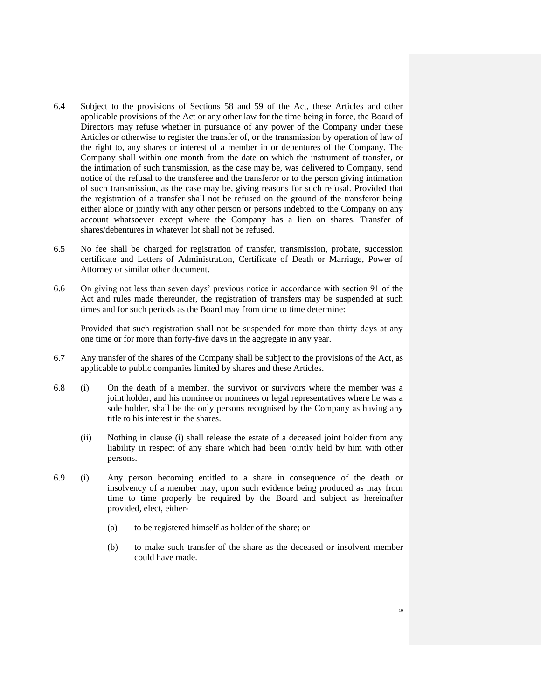- 6.4 Subject to the provisions of Sections 58 and 59 of the Act, these Articles and other applicable provisions of the Act or any other law for the time being in force, the Board of Directors may refuse whether in pursuance of any power of the Company under these Articles or otherwise to register the transfer of, or the transmission by operation of law of the right to, any shares or interest of a member in or debentures of the Company. The Company shall within one month from the date on which the instrument of transfer, or the intimation of such transmission, as the case may be, was delivered to Company, send notice of the refusal to the transferee and the transferor or to the person giving intimation of such transmission, as the case may be, giving reasons for such refusal. Provided that the registration of a transfer shall not be refused on the ground of the transferor being either alone or jointly with any other person or persons indebted to the Company on any account whatsoever except where the Company has a lien on shares. Transfer of shares/debentures in whatever lot shall not be refused.
- 6.5 No fee shall be charged for registration of transfer, transmission, probate, succession certificate and Letters of Administration, Certificate of Death or Marriage, Power of Attorney or similar other document.
- 6.6 On giving not less than seven days' previous notice in accordance with section 91 of the Act and rules made thereunder, the registration of transfers may be suspended at such times and for such periods as the Board may from time to time determine:

Provided that such registration shall not be suspended for more than thirty days at any one time or for more than forty-five days in the aggregate in any year.

- 6.7 Any transfer of the shares of the Company shall be subject to the provisions of the Act, as applicable to public companies limited by shares and these Articles.
- 6.8 (i) On the death of a member, the survivor or survivors where the member was a joint holder, and his nominee or nominees or legal representatives where he was a sole holder, shall be the only persons recognised by the Company as having any title to his interest in the shares.
	- (ii) Nothing in clause (i) shall release the estate of a deceased joint holder from any liability in respect of any share which had been jointly held by him with other persons.
- 6.9 (i) Any person becoming entitled to a share in consequence of the death or insolvency of a member may, upon such evidence being produced as may from time to time properly be required by the Board and subject as hereinafter provided, elect, either-
	- (a) to be registered himself as holder of the share; or
	- (b) to make such transfer of the share as the deceased or insolvent member could have made.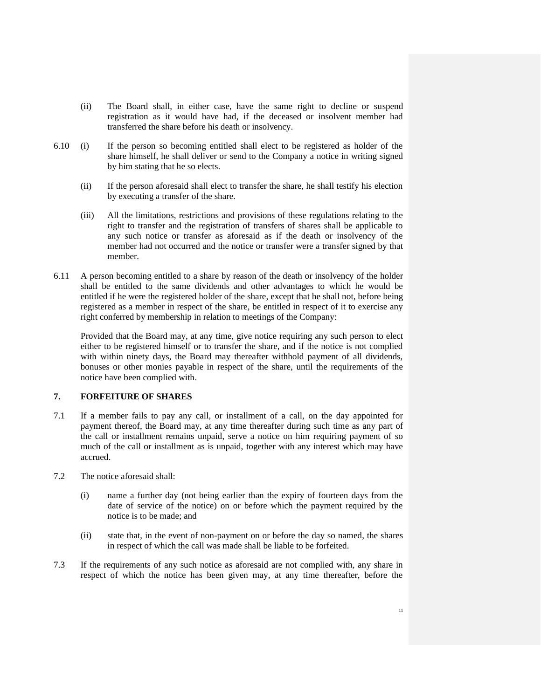- (ii) The Board shall, in either case, have the same right to decline or suspend registration as it would have had, if the deceased or insolvent member had transferred the share before his death or insolvency.
- 6.10 (i) If the person so becoming entitled shall elect to be registered as holder of the share himself, he shall deliver or send to the Company a notice in writing signed by him stating that he so elects.
	- (ii) If the person aforesaid shall elect to transfer the share, he shall testify his election by executing a transfer of the share.
	- (iii) All the limitations, restrictions and provisions of these regulations relating to the right to transfer and the registration of transfers of shares shall be applicable to any such notice or transfer as aforesaid as if the death or insolvency of the member had not occurred and the notice or transfer were a transfer signed by that member.
- 6.11 A person becoming entitled to a share by reason of the death or insolvency of the holder shall be entitled to the same dividends and other advantages to which he would be entitled if he were the registered holder of the share, except that he shall not, before being registered as a member in respect of the share, be entitled in respect of it to exercise any right conferred by membership in relation to meetings of the Company:

Provided that the Board may, at any time, give notice requiring any such person to elect either to be registered himself or to transfer the share, and if the notice is not complied with within ninety days, the Board may thereafter withhold payment of all dividends, bonuses or other monies payable in respect of the share, until the requirements of the notice have been complied with.

## **7. FORFEITURE OF SHARES**

- 7.1 If a member fails to pay any call, or installment of a call, on the day appointed for payment thereof, the Board may, at any time thereafter during such time as any part of the call or installment remains unpaid, serve a notice on him requiring payment of so much of the call or installment as is unpaid, together with any interest which may have accrued.
- 7.2 The notice aforesaid shall:
	- (i) name a further day (not being earlier than the expiry of fourteen days from the date of service of the notice) on or before which the payment required by the notice is to be made; and
	- (ii) state that, in the event of non-payment on or before the day so named, the shares in respect of which the call was made shall be liable to be forfeited.
- 7.3 If the requirements of any such notice as aforesaid are not complied with, any share in respect of which the notice has been given may, at any time thereafter, before the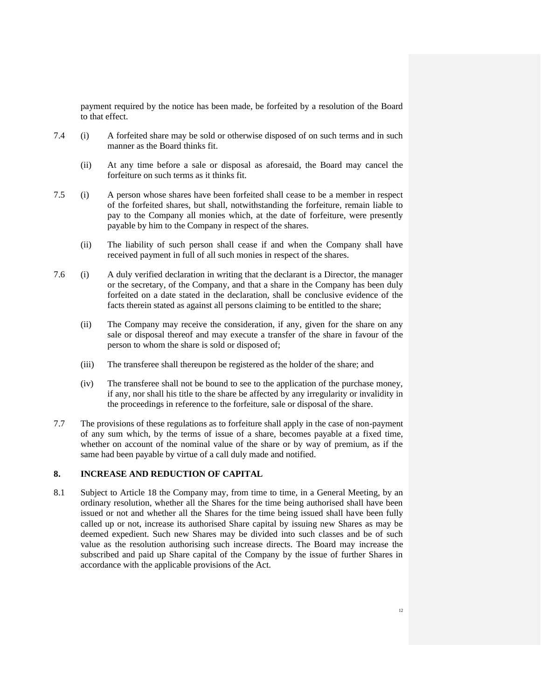payment required by the notice has been made, be forfeited by a resolution of the Board to that effect.

- 7.4 (i) A forfeited share may be sold or otherwise disposed of on such terms and in such manner as the Board thinks fit.
	- (ii) At any time before a sale or disposal as aforesaid, the Board may cancel the forfeiture on such terms as it thinks fit.
- 7.5 (i) A person whose shares have been forfeited shall cease to be a member in respect of the forfeited shares, but shall, notwithstanding the forfeiture, remain liable to pay to the Company all monies which, at the date of forfeiture, were presently payable by him to the Company in respect of the shares.
	- (ii) The liability of such person shall cease if and when the Company shall have received payment in full of all such monies in respect of the shares.
- 7.6 (i) A duly verified declaration in writing that the declarant is a Director, the manager or the secretary, of the Company, and that a share in the Company has been duly forfeited on a date stated in the declaration, shall be conclusive evidence of the facts therein stated as against all persons claiming to be entitled to the share;
	- (ii) The Company may receive the consideration, if any, given for the share on any sale or disposal thereof and may execute a transfer of the share in favour of the person to whom the share is sold or disposed of;
	- (iii) The transferee shall thereupon be registered as the holder of the share; and
	- (iv) The transferee shall not be bound to see to the application of the purchase money, if any, nor shall his title to the share be affected by any irregularity or invalidity in the proceedings in reference to the forfeiture, sale or disposal of the share.
- 7.7 The provisions of these regulations as to forfeiture shall apply in the case of non-payment of any sum which, by the terms of issue of a share, becomes payable at a fixed time, whether on account of the nominal value of the share or by way of premium, as if the same had been payable by virtue of a call duly made and notified.

## **8. INCREASE AND REDUCTION OF CAPITAL**

8.1 Subject to Article 18 the Company may, from time to time, in a General Meeting, by an ordinary resolution, whether all the Shares for the time being authorised shall have been issued or not and whether all the Shares for the time being issued shall have been fully called up or not, increase its authorised Share capital by issuing new Shares as may be deemed expedient. Such new Shares may be divided into such classes and be of such value as the resolution authorising such increase directs. The Board may increase the subscribed and paid up Share capital of the Company by the issue of further Shares in accordance with the applicable provisions of the Act.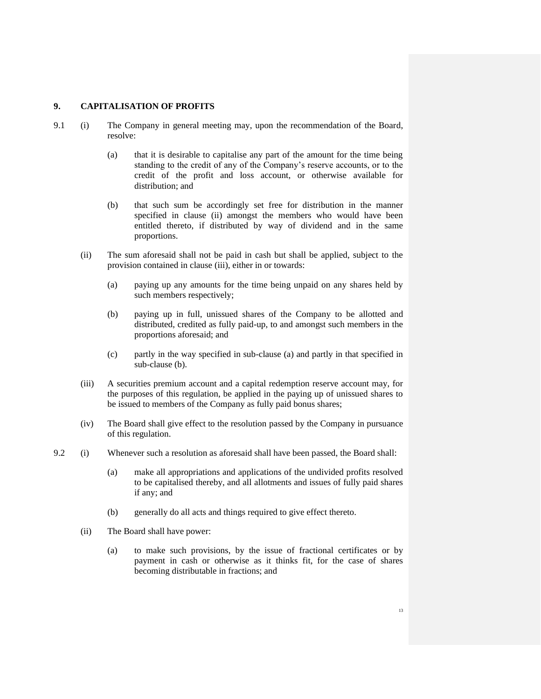#### **9. CAPITALISATION OF PROFITS**

- 9.1 (i) The Company in general meeting may, upon the recommendation of the Board, resolve:
	- (a) that it is desirable to capitalise any part of the amount for the time being standing to the credit of any of the Company's reserve accounts, or to the credit of the profit and loss account, or otherwise available for distribution; and
	- (b) that such sum be accordingly set free for distribution in the manner specified in clause (ii) amongst the members who would have been entitled thereto, if distributed by way of dividend and in the same proportions.
	- (ii) The sum aforesaid shall not be paid in cash but shall be applied, subject to the provision contained in clause (iii), either in or towards:
		- (a) paying up any amounts for the time being unpaid on any shares held by such members respectively;
		- (b) paying up in full, unissued shares of the Company to be allotted and distributed, credited as fully paid-up, to and amongst such members in the proportions aforesaid; and
		- (c) partly in the way specified in sub-clause (a) and partly in that specified in sub-clause (b).
	- (iii) A securities premium account and a capital redemption reserve account may, for the purposes of this regulation, be applied in the paying up of unissued shares to be issued to members of the Company as fully paid bonus shares;
	- (iv) The Board shall give effect to the resolution passed by the Company in pursuance of this regulation.
- 9.2 (i) Whenever such a resolution as aforesaid shall have been passed, the Board shall:
	- (a) make all appropriations and applications of the undivided profits resolved to be capitalised thereby, and all allotments and issues of fully paid shares if any; and
	- (b) generally do all acts and things required to give effect thereto.
	- (ii) The Board shall have power:
		- (a) to make such provisions, by the issue of fractional certificates or by payment in cash or otherwise as it thinks fit, for the case of shares becoming distributable in fractions; and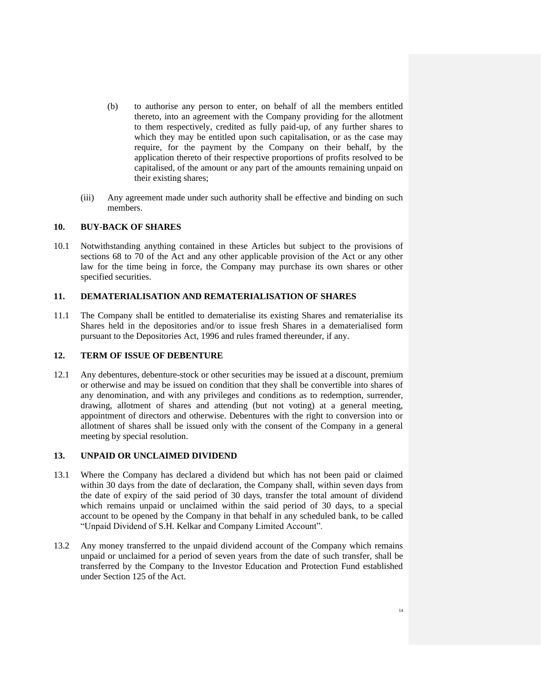- (b) to authorise any person to enter, on behalf of all the members entitled thereto, into an agreement with the Company providing for the allotment to them respectively, credited as fully paid-up, of any further shares to which they may be entitled upon such capitalisation, or as the case may require, for the payment by the Company on their behalf, by the application thereto of their respective proportions of profits resolved to be capitalised, of the amount or any part of the amounts remaining unpaid on their existing shares;
- (iii) Any agreement made under such authority shall be effective and binding on such members.

## **10. BUY-BACK OF SHARES**

10.1 Notwithstanding anything contained in these Articles but subject to the provisions of sections 68 to 70 of the Act and any other applicable provision of the Act or any other law for the time being in force, the Company may purchase its own shares or other specified securities.

## **11. DEMATERIALISATION AND REMATERIALISATION OF SHARES**

11.1 The Company shall be entitled to dematerialise its existing Shares and rematerialise its Shares held in the depositories and/or to issue fresh Shares in a dematerialised form pursuant to the Depositories Act, 1996 and rules framed thereunder, if any.

## **12. TERM OF ISSUE OF DEBENTURE**

12.1 Any debentures, debenture-stock or other securities may be issued at a discount, premium or otherwise and may be issued on condition that they shall be convertible into shares of any denomination, and with any privileges and conditions as to redemption, surrender, drawing, allotment of shares and attending (but not voting) at a general meeting, appointment of directors and otherwise. Debentures with the right to conversion into or allotment of shares shall be issued only with the consent of the Company in a general meeting by special resolution.

### **13. UNPAID OR UNCLAIMED DIVIDEND**

- 13.1 Where the Company has declared a dividend but which has not been paid or claimed within 30 days from the date of declaration, the Company shall, within seven days from the date of expiry of the said period of 30 days, transfer the total amount of dividend which remains unpaid or unclaimed within the said period of 30 days, to a special account to be opened by the Company in that behalf in any scheduled bank, to be called "Unpaid Dividend of S.H. Kelkar and Company Limited Account".
- 13.2 Any money transferred to the unpaid dividend account of the Company which remains unpaid or unclaimed for a period of seven years from the date of such transfer, shall be transferred by the Company to the Investor Education and Protection Fund established under Section 125 of the Act.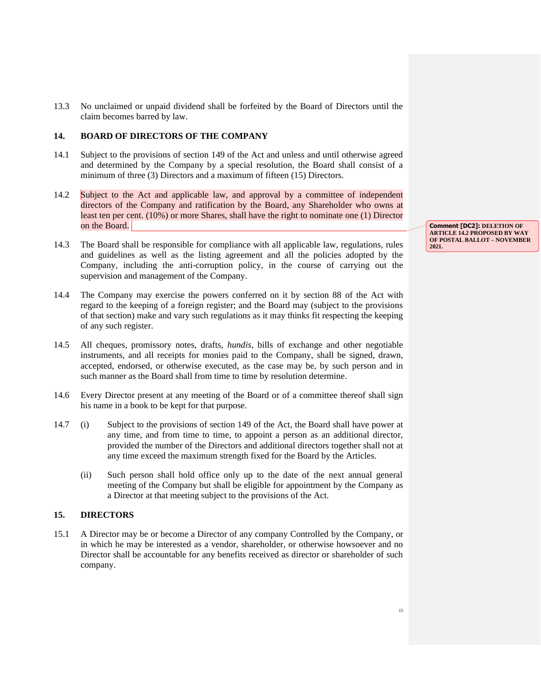13.3 No unclaimed or unpaid dividend shall be forfeited by the Board of Directors until the claim becomes barred by law.

## **14. BOARD OF DIRECTORS OF THE COMPANY**

- 14.1 Subject to the provisions of section 149 of the Act and unless and until otherwise agreed and determined by the Company by a special resolution, the Board shall consist of a minimum of three (3) Directors and a maximum of fifteen (15) Directors.
- 14.2 Subject to the Act and applicable law, and approval by a committee of independent directors of the Company and ratification by the Board, any Shareholder who owns at least ten per cent. (10%) or more Shares, shall have the right to nominate one (1) Director on the Board.
- 14.3 The Board shall be responsible for compliance with all applicable law, regulations, rules and guidelines as well as the listing agreement and all the policies adopted by the Company, including the anti-corruption policy, in the course of carrying out the supervision and management of the Company.
- 14.4 The Company may exercise the powers conferred on it by section 88 of the Act with regard to the keeping of a foreign register; and the Board may (subject to the provisions of that section) make and vary such regulations as it may thinks fit respecting the keeping of any such register.
- 14.5 All cheques, promissory notes, drafts, *hundis*, bills of exchange and other negotiable instruments, and all receipts for monies paid to the Company, shall be signed, drawn, accepted, endorsed, or otherwise executed, as the case may be, by such person and in such manner as the Board shall from time to time by resolution determine.
- 14.6 Every Director present at any meeting of the Board or of a committee thereof shall sign his name in a book to be kept for that purpose.
- 14.7 (i) Subject to the provisions of section 149 of the Act, the Board shall have power at any time, and from time to time, to appoint a person as an additional director, provided the number of the Directors and additional directors together shall not at any time exceed the maximum strength fixed for the Board by the Articles.
	- (ii) Such person shall hold office only up to the date of the next annual general meeting of the Company but shall be eligible for appointment by the Company as a Director at that meeting subject to the provisions of the Act.

## **15. DIRECTORS**

15.1 A Director may be or become a Director of any company Controlled by the Company, or in which he may be interested as a vendor, shareholder, or otherwise howsoever and no Director shall be accountable for any benefits received as director or shareholder of such company.

**Comment [DC2]: DELETION OF ARTICLE 14.2 PROPOSED BY WAY OF POSTAL BALLOT – NOVEMBER 2021.**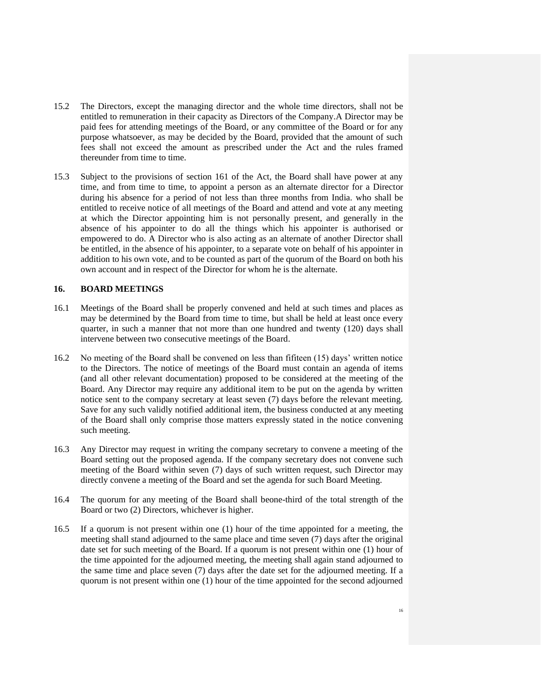- 15.2 The Directors, except the managing director and the whole time directors, shall not be entitled to remuneration in their capacity as Directors of the Company.A Director may be paid fees for attending meetings of the Board, or any committee of the Board or for any purpose whatsoever, as may be decided by the Board, provided that the amount of such fees shall not exceed the amount as prescribed under the Act and the rules framed thereunder from time to time.
- 15.3 Subject to the provisions of section 161 of the Act, the Board shall have power at any time, and from time to time, to appoint a person as an alternate director for a Director during his absence for a period of not less than three months from India. who shall be entitled to receive notice of all meetings of the Board and attend and vote at any meeting at which the Director appointing him is not personally present, and generally in the absence of his appointer to do all the things which his appointer is authorised or empowered to do. A Director who is also acting as an alternate of another Director shall be entitled, in the absence of his appointer, to a separate vote on behalf of his appointer in addition to his own vote, and to be counted as part of the quorum of the Board on both his own account and in respect of the Director for whom he is the alternate.

### **16. BOARD MEETINGS**

- 16.1 Meetings of the Board shall be properly convened and held at such times and places as may be determined by the Board from time to time, but shall be held at least once every quarter, in such a manner that not more than one hundred and twenty (120) days shall intervene between two consecutive meetings of the Board.
- 16.2 No meeting of the Board shall be convened on less than fifiteen (15) days' written notice to the Directors. The notice of meetings of the Board must contain an agenda of items (and all other relevant documentation) proposed to be considered at the meeting of the Board. Any Director may require any additional item to be put on the agenda by written notice sent to the company secretary at least seven (7) days before the relevant meeting. Save for any such validly notified additional item, the business conducted at any meeting of the Board shall only comprise those matters expressly stated in the notice convening such meeting.
- 16.3 Any Director may request in writing the company secretary to convene a meeting of the Board setting out the proposed agenda. If the company secretary does not convene such meeting of the Board within seven (7) days of such written request, such Director may directly convene a meeting of the Board and set the agenda for such Board Meeting.
- 16.4 The quorum for any meeting of the Board shall beone-third of the total strength of the Board or two (2) Directors, whichever is higher.
- 16.5 If a quorum is not present within one (1) hour of the time appointed for a meeting, the meeting shall stand adjourned to the same place and time seven (7) days after the original date set for such meeting of the Board. If a quorum is not present within one (1) hour of the time appointed for the adjourned meeting, the meeting shall again stand adjourned to the same time and place seven (7) days after the date set for the adjourned meeting. If a quorum is not present within one (1) hour of the time appointed for the second adjourned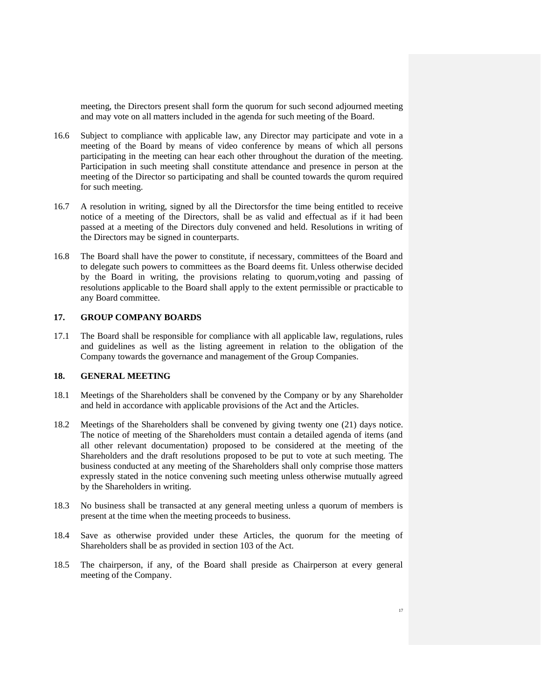meeting, the Directors present shall form the quorum for such second adjourned meeting and may vote on all matters included in the agenda for such meeting of the Board.

- 16.6 Subject to compliance with applicable law, any Director may participate and vote in a meeting of the Board by means of video conference by means of which all persons participating in the meeting can hear each other throughout the duration of the meeting. Participation in such meeting shall constitute attendance and presence in person at the meeting of the Director so participating and shall be counted towards the qurom required for such meeting.
- 16.7 A resolution in writing, signed by all the Directorsfor the time being entitled to receive notice of a meeting of the Directors, shall be as valid and effectual as if it had been passed at a meeting of the Directors duly convened and held. Resolutions in writing of the Directors may be signed in counterparts.
- 16.8 The Board shall have the power to constitute, if necessary, committees of the Board and to delegate such powers to committees as the Board deems fit. Unless otherwise decided by the Board in writing, the provisions relating to quorum,voting and passing of resolutions applicable to the Board shall apply to the extent permissible or practicable to any Board committee.

## **17. GROUP COMPANY BOARDS**

17.1 The Board shall be responsible for compliance with all applicable law, regulations, rules and guidelines as well as the listing agreement in relation to the obligation of the Company towards the governance and management of the Group Companies.

## **18. GENERAL MEETING**

- 18.1 Meetings of the Shareholders shall be convened by the Company or by any Shareholder and held in accordance with applicable provisions of the Act and the Articles.
- 18.2 Meetings of the Shareholders shall be convened by giving twenty one (21) days notice. The notice of meeting of the Shareholders must contain a detailed agenda of items (and all other relevant documentation) proposed to be considered at the meeting of the Shareholders and the draft resolutions proposed to be put to vote at such meeting. The business conducted at any meeting of the Shareholders shall only comprise those matters expressly stated in the notice convening such meeting unless otherwise mutually agreed by the Shareholders in writing.
- 18.3 No business shall be transacted at any general meeting unless a quorum of members is present at the time when the meeting proceeds to business.
- 18.4 Save as otherwise provided under these Articles, the quorum for the meeting of Shareholders shall be as provided in section 103 of the Act.
- 18.5 The chairperson, if any, of the Board shall preside as Chairperson at every general meeting of the Company.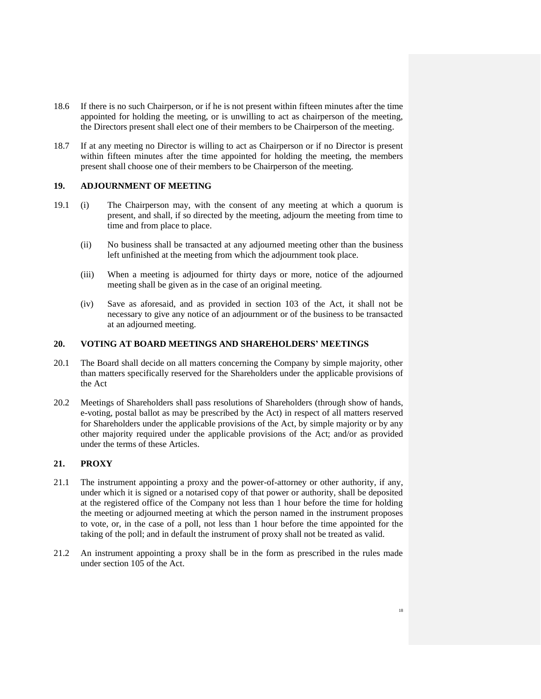- 18.6 If there is no such Chairperson, or if he is not present within fifteen minutes after the time appointed for holding the meeting, or is unwilling to act as chairperson of the meeting, the Directors present shall elect one of their members to be Chairperson of the meeting.
- 18.7 If at any meeting no Director is willing to act as Chairperson or if no Director is present within fifteen minutes after the time appointed for holding the meeting, the members present shall choose one of their members to be Chairperson of the meeting.

### **19. ADJOURNMENT OF MEETING**

- 19.1 (i) The Chairperson may, with the consent of any meeting at which a quorum is present, and shall, if so directed by the meeting, adjourn the meeting from time to time and from place to place.
	- (ii) No business shall be transacted at any adjourned meeting other than the business left unfinished at the meeting from which the adjournment took place.
	- (iii) When a meeting is adjourned for thirty days or more, notice of the adjourned meeting shall be given as in the case of an original meeting.
	- (iv) Save as aforesaid, and as provided in section 103 of the Act, it shall not be necessary to give any notice of an adjournment or of the business to be transacted at an adjourned meeting.

## **20. VOTING AT BOARD MEETINGS AND SHAREHOLDERS' MEETINGS**

- 20.1 The Board shall decide on all matters concerning the Company by simple majority, other than matters specifically reserved for the Shareholders under the applicable provisions of the Act
- 20.2 Meetings of Shareholders shall pass resolutions of Shareholders (through show of hands, e-voting, postal ballot as may be prescribed by the Act) in respect of all matters reserved for Shareholders under the applicable provisions of the Act, by simple majority or by any other majority required under the applicable provisions of the Act; and/or as provided under the terms of these Articles.

## **21. PROXY**

- 21.1 The instrument appointing a proxy and the power-of-attorney or other authority, if any, under which it is signed or a notarised copy of that power or authority, shall be deposited at the registered office of the Company not less than 1 hour before the time for holding the meeting or adjourned meeting at which the person named in the instrument proposes to vote, or, in the case of a poll, not less than 1 hour before the time appointed for the taking of the poll; and in default the instrument of proxy shall not be treated as valid.
- 21.2 An instrument appointing a proxy shall be in the form as prescribed in the rules made under section 105 of the Act.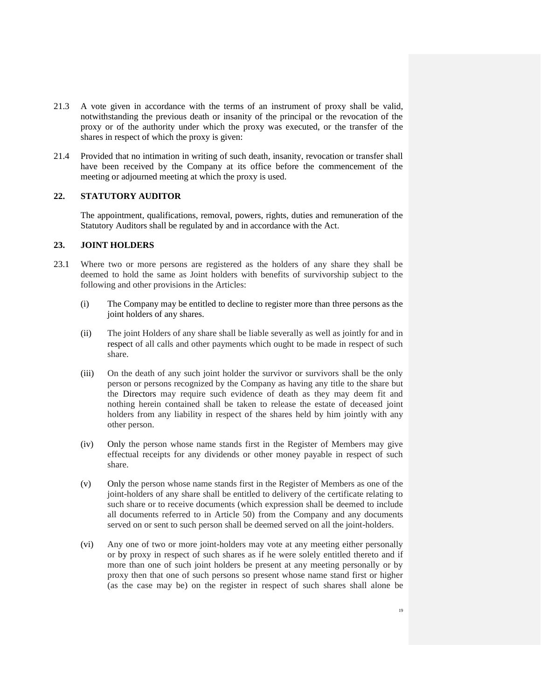- 21.3 A vote given in accordance with the terms of an instrument of proxy shall be valid, notwithstanding the previous death or insanity of the principal or the revocation of the proxy or of the authority under which the proxy was executed, or the transfer of the shares in respect of which the proxy is given:
- 21.4 Provided that no intimation in writing of such death, insanity, revocation or transfer shall have been received by the Company at its office before the commencement of the meeting or adjourned meeting at which the proxy is used.

## **22. STATUTORY AUDITOR**

The appointment, qualifications, removal, powers, rights, duties and remuneration of the Statutory Auditors shall be regulated by and in accordance with the Act.

## **23. JOINT HOLDERS**

- 23.1 Where two or more persons are registered as the holders of any share they shall be deemed to hold the same as Joint holders with benefits of survivorship subject to the following and other provisions in the Articles:
	- (i) The Company may be entitled to decline to register more than three persons as the joint holders of any shares.
	- (ii) The joint Holders of any share shall be liable severally as well as jointly for and in respect of all calls and other payments which ought to be made in respect of such share.
	- (iii) On the death of any such joint holder the survivor or survivors shall be the only person or persons recognized by the Company as having any title to the share but the Directors may require such evidence of death as they may deem fit and nothing herein contained shall be taken to release the estate of deceased joint holders from any liability in respect of the shares held by him jointly with any other person.
	- (iv) Only the person whose name stands first in the Register of Members may give effectual receipts for any dividends or other money payable in respect of such share.
	- (v) Only the person whose name stands first in the Register of Members as one of the joint-holders of any share shall be entitled to delivery of the certificate relating to such share or to receive documents (which expression shall be deemed to include all documents referred to in Article 50) from the Company and any documents served on or sent to such person shall be deemed served on all the joint-holders.
	- (vi) Any one of two or more joint-holders may vote at any meeting either personally or by proxy in respect of such shares as if he were solely entitled thereto and if more than one of such joint holders be present at any meeting personally or by proxy then that one of such persons so present whose name stand first or higher (as the case may be) on the register in respect of such shares shall alone be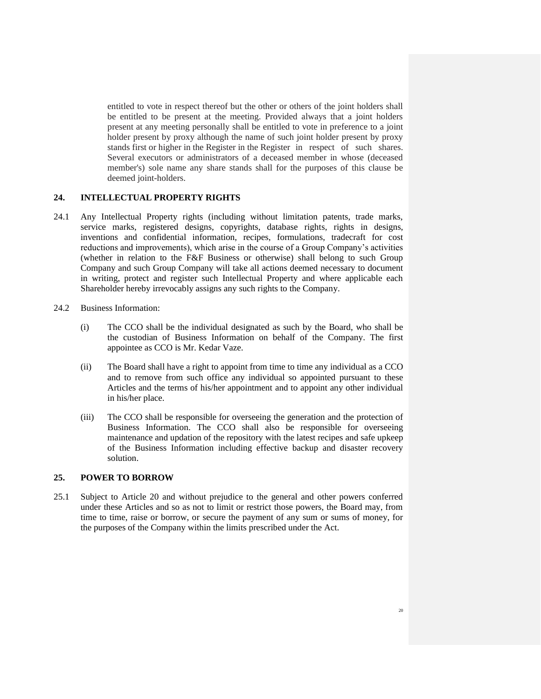entitled to vote in respect thereof but the other or others of the joint holders shall be entitled to be present at the meeting. Provided always that a joint holders present at any meeting personally shall be entitled to vote in preference to a joint holder present by proxy although the name of such joint holder present by proxy stands first or higher in the Register in the Register in respect of such shares. Several executors or administrators of a deceased member in whose (deceased member's) sole name any share stands shall for the purposes of this clause be deemed joint-holders.

### **24. INTELLECTUAL PROPERTY RIGHTS**

- 24.1 Any Intellectual Property rights (including without limitation patents, trade marks, service marks, registered designs, copyrights, database rights, rights in designs, inventions and confidential information, recipes, formulations, tradecraft for cost reductions and improvements), which arise in the course of a Group Company's activities (whether in relation to the F&F Business or otherwise) shall belong to such Group Company and such Group Company will take all actions deemed necessary to document in writing, protect and register such Intellectual Property and where applicable each Shareholder hereby irrevocably assigns any such rights to the Company.
- 24.2 Business Information:
	- (i) The CCO shall be the individual designated as such by the Board, who shall be the custodian of Business Information on behalf of the Company. The first appointee as CCO is Mr. Kedar Vaze.
	- (ii) The Board shall have a right to appoint from time to time any individual as a CCO and to remove from such office any individual so appointed pursuant to these Articles and the terms of his/her appointment and to appoint any other individual in his/her place.
	- (iii) The CCO shall be responsible for overseeing the generation and the protection of Business Information. The CCO shall also be responsible for overseeing maintenance and updation of the repository with the latest recipes and safe upkeep of the Business Information including effective backup and disaster recovery solution.

### **25. POWER TO BORROW**

25.1 Subject to Article 20 and without prejudice to the general and other powers conferred under these Articles and so as not to limit or restrict those powers, the Board may, from time to time, raise or borrow, or secure the payment of any sum or sums of money, for the purposes of the Company within the limits prescribed under the Act.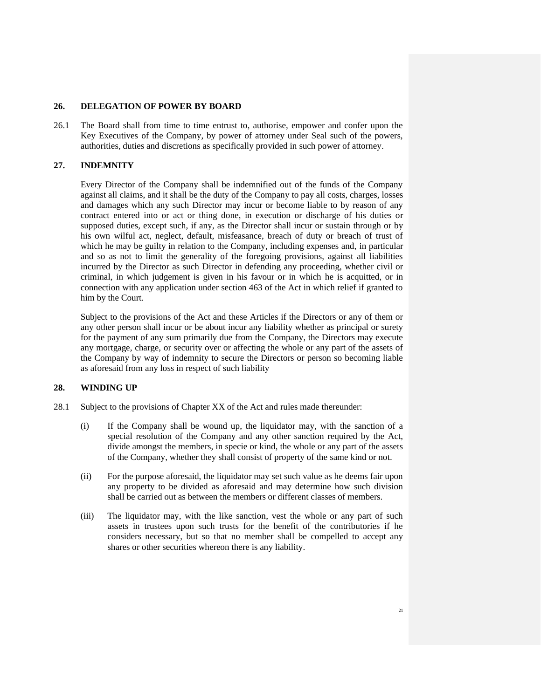## **26. DELEGATION OF POWER BY BOARD**

26.1 The Board shall from time to time entrust to, authorise, empower and confer upon the Key Executives of the Company, by power of attorney under Seal such of the powers, authorities, duties and discretions as specifically provided in such power of attorney.

## **27. INDEMNITY**

Every Director of the Company shall be indemnified out of the funds of the Company against all claims, and it shall be the duty of the Company to pay all costs, charges, losses and damages which any such Director may incur or become liable to by reason of any contract entered into or act or thing done, in execution or discharge of his duties or supposed duties, except such, if any, as the Director shall incur or sustain through or by his own wilful act, neglect, default, misfeasance, breach of duty or breach of trust of which he may be guilty in relation to the Company, including expenses and, in particular and so as not to limit the generality of the foregoing provisions, against all liabilities incurred by the Director as such Director in defending any proceeding, whether civil or criminal, in which judgement is given in his favour or in which he is acquitted, or in connection with any application under section 463 of the Act in which relief if granted to him by the Court.

Subject to the provisions of the Act and these Articles if the Directors or any of them or any other person shall incur or be about incur any liability whether as principal or surety for the payment of any sum primarily due from the Company, the Directors may execute any mortgage, charge, or security over or affecting the whole or any part of the assets of the Company by way of indemnity to secure the Directors or person so becoming liable as aforesaid from any loss in respect of such liability

### **28. WINDING UP**

- 28.1 Subject to the provisions of Chapter XX of the Act and rules made thereunder:
	- (i) If the Company shall be wound up, the liquidator may, with the sanction of a special resolution of the Company and any other sanction required by the Act, divide amongst the members, in specie or kind, the whole or any part of the assets of the Company, whether they shall consist of property of the same kind or not.
	- (ii) For the purpose aforesaid, the liquidator may set such value as he deems fair upon any property to be divided as aforesaid and may determine how such division shall be carried out as between the members or different classes of members.
	- (iii) The liquidator may, with the like sanction, vest the whole or any part of such assets in trustees upon such trusts for the benefit of the contributories if he considers necessary, but so that no member shall be compelled to accept any shares or other securities whereon there is any liability.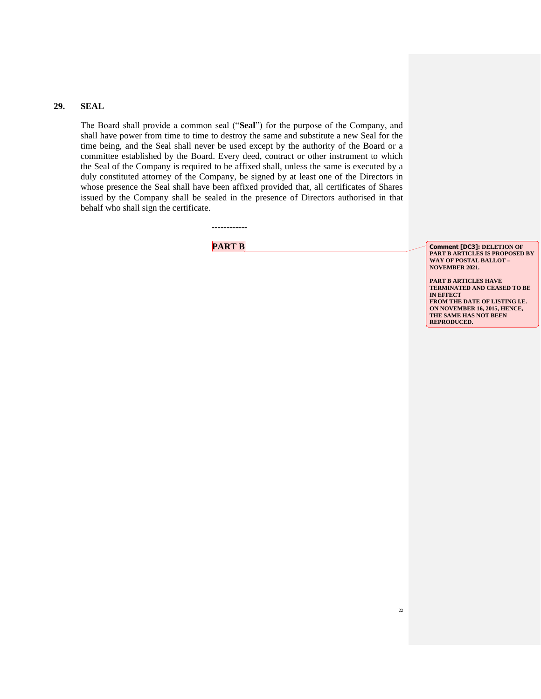#### **29. SEAL**

The Board shall provide a common seal ("**Seal**") for the purpose of the Company, and shall have power from time to time to destroy the same and substitute a new Seal for the time being, and the Seal shall never be used except by the authority of the Board or a committee established by the Board. Every deed, contract or other instrument to which the Seal of the Company is required to be affixed shall, unless the same is executed by a duly constituted attorney of the Company, be signed by at least one of the Directors in whose presence the Seal shall have been affixed provided that, all certificates of Shares issued by the Company shall be sealed in the presence of Directors authorised in that behalf who shall sign the certificate.

**------------**

**PART B Comment [DC3]:** DELETION OF **PART B ARTICLES IS PROPOSED BY WAY OF POSTAL BALLOT – NOVEMBER 2021.**

> **PART B ARTICLES HAVE TERMINATED AND CEASED TO BE IN EFFECT FROM THE DATE OF LISTING I.E. ON NOVEMBER 16, 2015, HENCE, THE SAME HAS NOT BEEN REPRODUCED.**